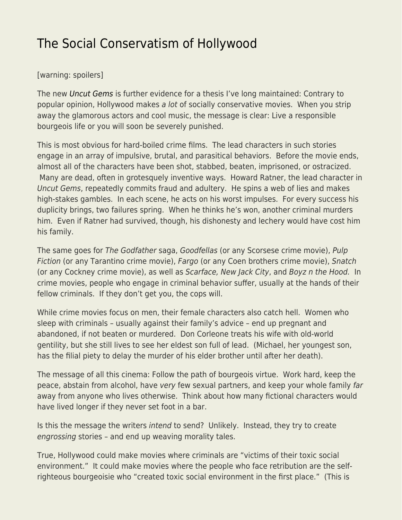## [The Social Conservatism of Hollywood](https://everything-voluntary.com/the-social-conservatism-of-hollywood)

## [warning: spoilers]

The new [Uncut Gems](https://en.wikipedia.org/wiki/Uncut_Gems) is further evidence for a thesis I've long maintained: Contrary to popular opinion, Hollywood makes a lot of socially conservative movies. When you strip away the glamorous actors and cool music, the message is clear: Live a responsible bourgeois life or you will soon be severely punished.

This is most obvious for hard-boiled crime films. The lead characters in such stories engage in an array of impulsive, brutal, and parasitical behaviors. Before the movie ends, almost all of the characters have been shot, stabbed, beaten, imprisoned, or ostracized. Many are dead, often in grotesquely inventive ways. Howard Ratner, the lead character in Uncut Gems, repeatedly commits fraud and adultery. He spins a web of lies and makes high-stakes gambles. In each scene, he acts on his worst impulses. For every success his duplicity brings, two failures spring. When he thinks he's won, another criminal murders him. Even if Ratner had survived, though, his dishonesty and lechery would have cost him his family.

The same goes for The Godfather saga, Goodfellas (or any Scorsese crime movie), Pulp Fiction (or any Tarantino crime movie), Fargo (or any Coen brothers crime movie), Snatch (or any Cockney crime movie), as well as Scarface, New Jack City, and Boyz n the Hood. In crime movies, people who engage in criminal behavior suffer, usually at the hands of their fellow criminals. If they don't get you, the cops will.

While crime movies focus on men, their female characters also catch hell. Women who sleep with criminals – usually against their family's advice – end up pregnant and abandoned, if not beaten or murdered. Don Corleone treats his wife with old-world gentility, but she still lives to see her eldest son full of lead. (Michael, her youngest son, has the filial piety to delay the murder of his elder brother until after her death).

The message of all this cinema: Follow the path of bourgeois virtue. Work hard, keep the peace, abstain from alcohol, have very few sexual partners, and keep your whole family far away from anyone who lives otherwise. Think about how many fictional characters would have lived longer if they never set foot in a bar.

Is this the message the writers intend to send? Unlikely. Instead, they try to create engrossing stories – and end up weaving morality tales.

True, Hollywood could make movies where criminals are "victims of their toxic social environment." It could make movies where the people who face retribution are the selfrighteous bourgeoisie who "created toxic social environment in the first place." (This is